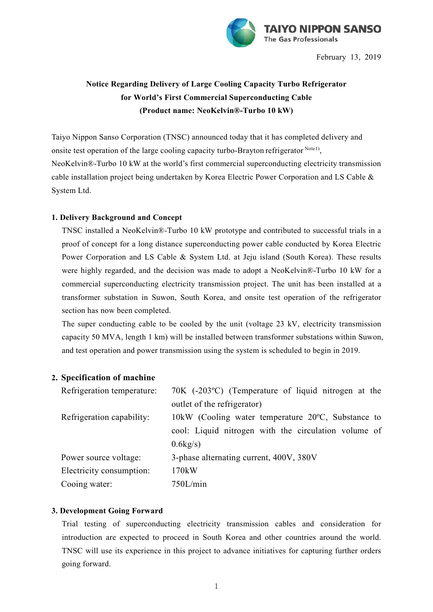

# **Notice Regarding Delivery of Large Cooling Capacity Turbo Refrigerator for World's First Commercial Superconducting Cable (Product name: NeoKelvin®-Turbo 10 kW)**

Taiyo Nippon Sanso Corporation (TNSC) announced today that it has completed delivery and onsite test operation of the large cooling capacity turbo-Brayton refrigerator Notel), NeoKelvin®-Turbo 10 kW at the world's first commercial superconducting electricity transmission cable installation project being undertaken by Korea Electric Power Corporation and LS Cable & System Ltd.

## **1. Delivery Background and Concept**

TNSC installed a NeoKelvin®-Turbo 10 kW prototype and contributed to successful trials in a proof of concept for a long distance superconducting power cable conducted by Korea Electric Power Corporation and LS Cable & System Ltd. at Jeju island (South Korea). These results were highly regarded, and the decision was made to adopt a NeoKelvin®-Turbo 10 kW for a commercial superconducting electricity transmission project. The unit has been installed at a transformer substation in Suwon, South Korea, and onsite test operation of the refrigerator section has now been completed.

The super conducting cable to be cooled by the unit (voltage 23 kV, electricity transmission capacity 50 MVA, length 1 km) will be installed between transformer substations within Suwon, and test operation and power transmission using the system is scheduled to begin in 2019.

## **2. Specification of machine**

| Refrigeration temperature: | $70K$ (-203 <sup>o</sup> C) (Temperature of liquid nitrogen at the |
|----------------------------|--------------------------------------------------------------------|
|                            | outlet of the refrigerator)                                        |
| Refrigeration capability:  | $10kW$ (Cooling water temperature $20^{\circ}C$ , Substance to     |
|                            | cool: Liquid nitrogen with the circulation volume of               |
|                            | $0.6\text{kg/s}$                                                   |
| Power source voltage:      | 3-phase alternating current, 400V, 380V                            |
| Electricity consumption:   | 170kW                                                              |
| Cooing water:              | 750L/min                                                           |

## **3. Development Going Forward**

Trial testing of superconducting electricity transmission cables and consideration for introduction are expected to proceed in South Korea and other countries around the world. TNSC will use its experience in this project to advance initiatives for capturing further orders going forward.